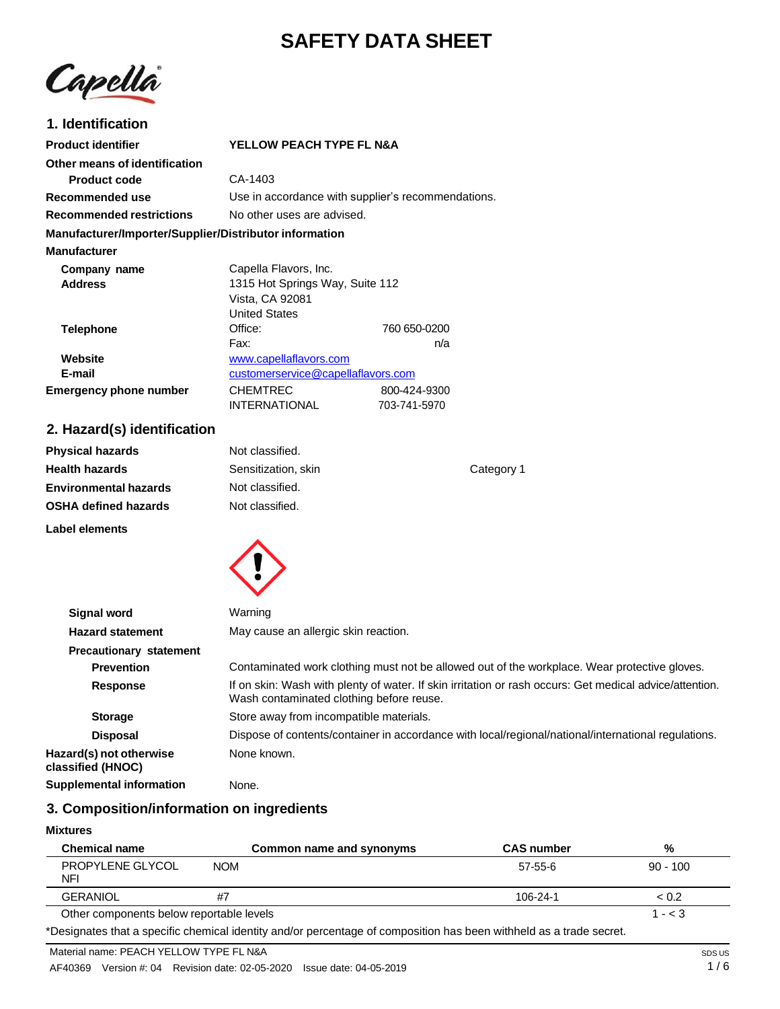# **SAFETY DATA SHEET**



# **1. Identification**

| <b>Product identifier</b>                              | YELLOW PEACH TYPE FL N&A                           |              |
|--------------------------------------------------------|----------------------------------------------------|--------------|
| Other means of identification                          |                                                    |              |
| <b>Product code</b>                                    | CA-1403                                            |              |
| Recommended use                                        | Use in accordance with supplier's recommendations. |              |
| <b>Recommended restrictions</b>                        | No other uses are advised.                         |              |
| Manufacturer/Importer/Supplier/Distributor information |                                                    |              |
| <b>Manufacturer</b>                                    |                                                    |              |
| Company name                                           | Capella Flavors, Inc.                              |              |
| <b>Address</b>                                         | 1315 Hot Springs Way, Suite 112                    |              |
|                                                        | Vista, CA 92081                                    |              |
|                                                        | <b>United States</b>                               |              |
| <b>Telephone</b>                                       | Office:                                            | 760 650-0200 |
|                                                        | Fax:                                               | n/a          |
| Website                                                | www.capellaflavors.com                             |              |
| E-mail                                                 | customerservice@capellaflavors.com                 |              |
| <b>Emergency phone number</b>                          | <b>CHEMTREC</b>                                    | 800-424-9300 |
|                                                        | <b>INTERNATIONAL</b>                               | 703-741-5970 |

### **2. Hazard(s) identification**

| <b>Physical hazards</b>      | Not classified.     |            |
|------------------------------|---------------------|------------|
| <b>Health hazards</b>        | Sensitization, skin | Category 1 |
| <b>Environmental hazards</b> | Not classified.     |            |
| <b>OSHA defined hazards</b>  | Not classified.     |            |
| Label elements               |                     |            |



| <b>Signal word</b>                           | Warning                                                                                                                                             |
|----------------------------------------------|-----------------------------------------------------------------------------------------------------------------------------------------------------|
| <b>Hazard statement</b>                      | May cause an allergic skin reaction.                                                                                                                |
| <b>Precautionary statement</b>               |                                                                                                                                                     |
| <b>Prevention</b>                            | Contaminated work clothing must not be allowed out of the workplace. Wear protective gloves.                                                        |
| <b>Response</b>                              | If on skin: Wash with plenty of water. If skin irritation or rash occurs: Get medical advice/attention.<br>Wash contaminated clothing before reuse. |
| <b>Storage</b>                               | Store away from incompatible materials.                                                                                                             |
| <b>Disposal</b>                              | Dispose of contents/container in accordance with local/regional/national/international regulations.                                                 |
| Hazard(s) not otherwise<br>classified (HNOC) | None known.                                                                                                                                         |
| <b>Supplemental information</b>              | None.                                                                                                                                               |

# **3. Composition/information on ingredients**

### **Mixtures**

| <b>Chemical name</b>                     | Common name and synonyms | <b>CAS number</b> | %          |
|------------------------------------------|--------------------------|-------------------|------------|
| PROPYLENE GLYCOL<br>NFI                  | <b>NOM</b>               | 57-55-6           | $90 - 100$ |
| <b>GERANIOL</b>                          | #7                       | 106-24-1          | ~< 0.2     |
| Other components below reportable levels |                          |                   | $1 - < 3$  |

\*Designates that a specific chemical identity and/or percentage of composition has been withheld as a trade secret.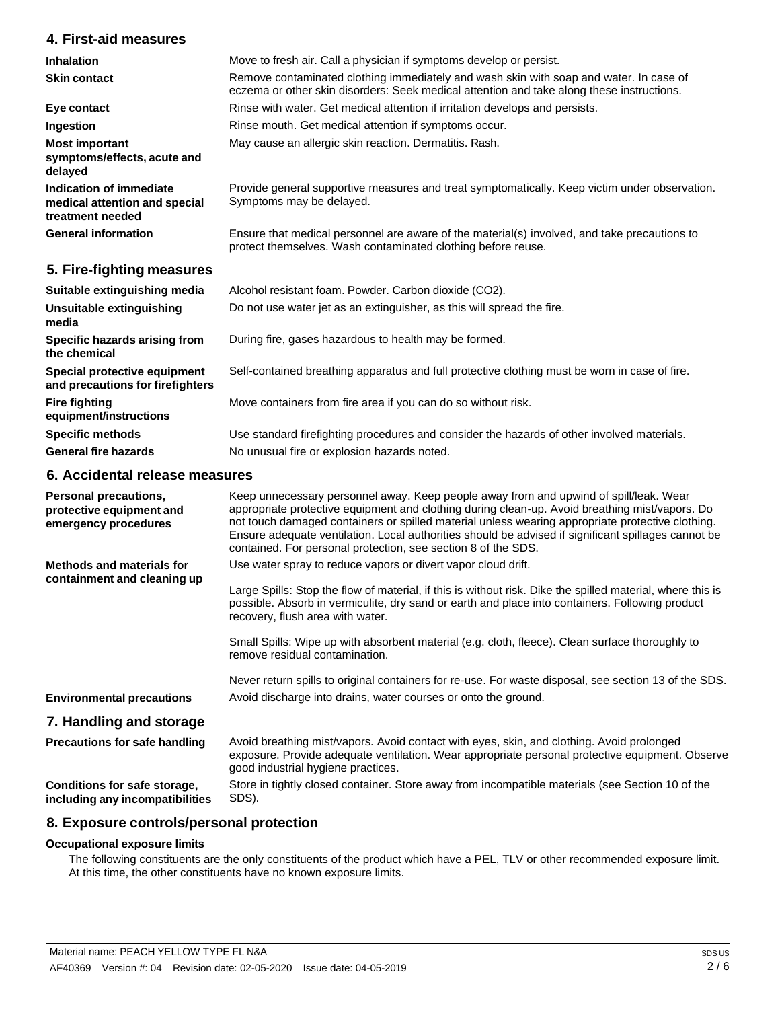## **4. First-aid measures**

| <b>Inhalation</b>                                                            | Move to fresh air. Call a physician if symptoms develop or persist.                                                                                                                 |
|------------------------------------------------------------------------------|-------------------------------------------------------------------------------------------------------------------------------------------------------------------------------------|
| <b>Skin contact</b>                                                          | Remove contaminated clothing immediately and wash skin with soap and water. In case of<br>eczema or other skin disorders: Seek medical attention and take along these instructions. |
| Eye contact                                                                  | Rinse with water. Get medical attention if irritation develops and persists.                                                                                                        |
| Ingestion                                                                    | Rinse mouth. Get medical attention if symptoms occur.                                                                                                                               |
| <b>Most important</b><br>symptoms/effects, acute and<br>delayed              | May cause an allergic skin reaction. Dermatitis. Rash.                                                                                                                              |
| Indication of immediate<br>medical attention and special<br>treatment needed | Provide general supportive measures and treat symptomatically. Keep victim under observation.<br>Symptoms may be delayed.                                                           |
| <b>General information</b>                                                   | Ensure that medical personnel are aware of the material(s) involved, and take precautions to<br>protect themselves. Wash contaminated clothing before reuse.                        |
| 5. Fire-fighting measures                                                    |                                                                                                                                                                                     |
| Suitable extinguishing media                                                 | Alcohol resistant foam. Powder. Carbon dioxide (CO2).                                                                                                                               |
| Unsuitable extinguishing<br>media                                            | Do not use water jet as an extinguisher, as this will spread the fire.                                                                                                              |
| Specific hazards arising from                                                | During fire, gases hazardous to health may be formed.                                                                                                                               |

Move containers from fire area if you can do so without risk.

No unusual fire or explosion hazards noted.

Self-contained breathing apparatus and full protective clothing must be worn in case of fire.

Use standard firefighting procedures and consider the hazards of other involved materials.

**Specific hazards arising from the chemical**

**Special protective equipment and precautions for firefighters**

**Fire fighting equipment/instructions**

**Specific methods** 

**General fire hazards**

### **6. Accidental release measures**

| <b>Personal precautions,</b><br>protective equipment and<br>emergency procedures | Keep unnecessary personnel away. Keep people away from and upwind of spill/leak. Wear<br>appropriate protective equipment and clothing during clean-up. Avoid breathing mist/vapors. Do<br>not touch damaged containers or spilled material unless wearing appropriate protective clothing.<br>Ensure adequate ventilation. Local authorities should be advised if significant spillages cannot be<br>contained. For personal protection, see section 8 of the SDS. |
|----------------------------------------------------------------------------------|---------------------------------------------------------------------------------------------------------------------------------------------------------------------------------------------------------------------------------------------------------------------------------------------------------------------------------------------------------------------------------------------------------------------------------------------------------------------|
| Methods and materials for<br>containment and cleaning up                         | Use water spray to reduce vapors or divert vapor cloud drift.<br>Large Spills: Stop the flow of material, if this is without risk. Dike the spilled material, where this is<br>possible. Absorb in vermiculite, dry sand or earth and place into containers. Following product<br>recovery, flush area with water.                                                                                                                                                  |
|                                                                                  | Small Spills: Wipe up with absorbent material (e.g. cloth, fleece). Clean surface thoroughly to<br>remove residual contamination.                                                                                                                                                                                                                                                                                                                                   |
|                                                                                  | Never return spills to original containers for re-use. For waste disposal, see section 13 of the SDS.                                                                                                                                                                                                                                                                                                                                                               |
| <b>Environmental precautions</b>                                                 | Avoid discharge into drains, water courses or onto the ground.                                                                                                                                                                                                                                                                                                                                                                                                      |
| 7. Handling and storage                                                          |                                                                                                                                                                                                                                                                                                                                                                                                                                                                     |
| <b>Precautions for safe handling</b>                                             | Avoid breathing mist/vapors. Avoid contact with eyes, skin, and clothing. Avoid prolonged<br>exposure. Provide adequate ventilation. Wear appropriate personal protective equipment. Observe<br>good industrial hygiene practices.                                                                                                                                                                                                                                  |
| Conditions for safe storage,<br>including any incompatibilities                  | Store in tightly closed container. Store away from incompatible materials (see Section 10 of the<br>SDS).                                                                                                                                                                                                                                                                                                                                                           |

### **8. Exposure controls/personal protection**

### **Occupational exposure limits**

The following constituents are the only constituents of the product which have a PEL, TLV or other recommended exposure limit. At this time, the other constituents have no known exposure limits.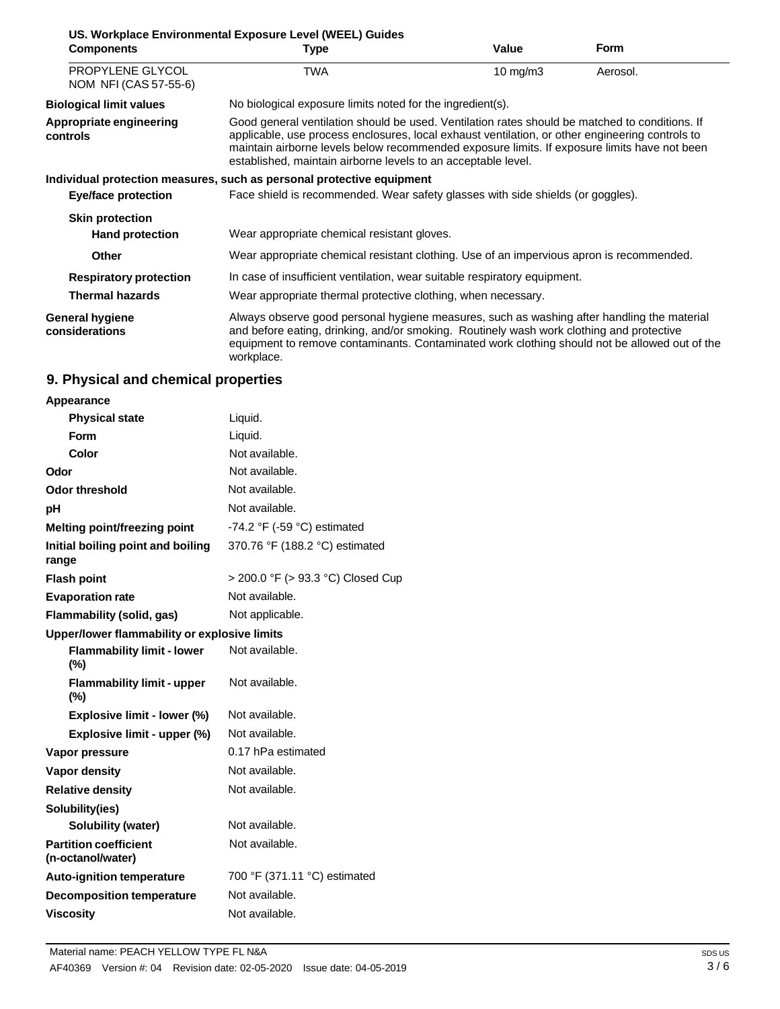| US. Workplace Environmental Exposure Level (WEEL) Guides |                                                                                                                                                                                                                                                                                                                                                                    |            |             |
|----------------------------------------------------------|--------------------------------------------------------------------------------------------------------------------------------------------------------------------------------------------------------------------------------------------------------------------------------------------------------------------------------------------------------------------|------------|-------------|
| <b>Components</b>                                        | <b>Type</b>                                                                                                                                                                                                                                                                                                                                                        | Value      | <b>Form</b> |
| PROPYLENE GLYCOL<br>NOM NFI (CAS 57-55-6)                | <b>TWA</b>                                                                                                                                                                                                                                                                                                                                                         | 10 $mg/m3$ | Aerosol.    |
| <b>Biological limit values</b>                           | No biological exposure limits noted for the ingredient(s).                                                                                                                                                                                                                                                                                                         |            |             |
| Appropriate engineering<br>controls                      | Good general ventilation should be used. Ventilation rates should be matched to conditions. If<br>applicable, use process enclosures, local exhaust ventilation, or other engineering controls to<br>maintain airborne levels below recommended exposure limits. If exposure limits have not been<br>established, maintain airborne levels to an acceptable level. |            |             |
|                                                          | Individual protection measures, such as personal protective equipment                                                                                                                                                                                                                                                                                              |            |             |
| Eye/face protection                                      | Face shield is recommended. Wear safety glasses with side shields (or goggles).                                                                                                                                                                                                                                                                                    |            |             |
| <b>Skin protection</b>                                   |                                                                                                                                                                                                                                                                                                                                                                    |            |             |
| <b>Hand protection</b>                                   | Wear appropriate chemical resistant gloves.                                                                                                                                                                                                                                                                                                                        |            |             |
| Other                                                    | Wear appropriate chemical resistant clothing. Use of an impervious apron is recommended.                                                                                                                                                                                                                                                                           |            |             |
| <b>Respiratory protection</b>                            | In case of insufficient ventilation, wear suitable respiratory equipment.                                                                                                                                                                                                                                                                                          |            |             |
| <b>Thermal hazards</b>                                   | Wear appropriate thermal protective clothing, when necessary.                                                                                                                                                                                                                                                                                                      |            |             |
| <b>General hygiene</b><br>considerations                 | Always observe good personal hygiene measures, such as washing after handling the material<br>and before eating, drinking, and/or smoking. Routinely wash work clothing and protective<br>equipment to remove contaminants. Contaminated work clothing should not be allowed out of the<br>workplace.                                                              |            |             |

# **9. Physical and chemical properties**

| Appearance                                        |                                               |  |
|---------------------------------------------------|-----------------------------------------------|--|
| <b>Physical state</b>                             | Liquid.                                       |  |
| <b>Form</b>                                       | Liquid.                                       |  |
| Color                                             | Not available.                                |  |
| Odor                                              | Not available.                                |  |
| Odor threshold                                    | Not available.                                |  |
| рH                                                | Not available.                                |  |
| Melting point/freezing point                      | -74.2 $\degree$ F (-59 $\degree$ C) estimated |  |
| Initial boiling point and boiling<br>range        | 370.76 °F (188.2 °C) estimated                |  |
| <b>Flash point</b>                                | > 200.0 °F (> 93.3 °C) Closed Cup             |  |
| <b>Evaporation rate</b>                           | Not available.                                |  |
| Flammability (solid, gas)                         | Not applicable.                               |  |
| Upper/lower flammability or explosive limits      |                                               |  |
| <b>Flammability limit - lower</b><br>$(\%)$       | Not available.                                |  |
| <b>Flammability limit - upper</b><br>$(\%)$       | Not available.                                |  |
| Explosive limit - lower (%)                       | Not available.                                |  |
| Explosive limit - upper (%)                       | Not available.                                |  |
| Vapor pressure                                    | 0.17 hPa estimated                            |  |
| <b>Vapor density</b>                              | Not available.                                |  |
| <b>Relative density</b>                           | Not available.                                |  |
| Solubility(ies)                                   |                                               |  |
| <b>Solubility (water)</b>                         | Not available.                                |  |
| <b>Partition coefficient</b><br>(n-octanol/water) | Not available.                                |  |
| <b>Auto-ignition temperature</b>                  | 700 °F (371.11 °C) estimated                  |  |
| <b>Decomposition temperature</b>                  | Not available.                                |  |
| <b>Viscositv</b>                                  | Not available.                                |  |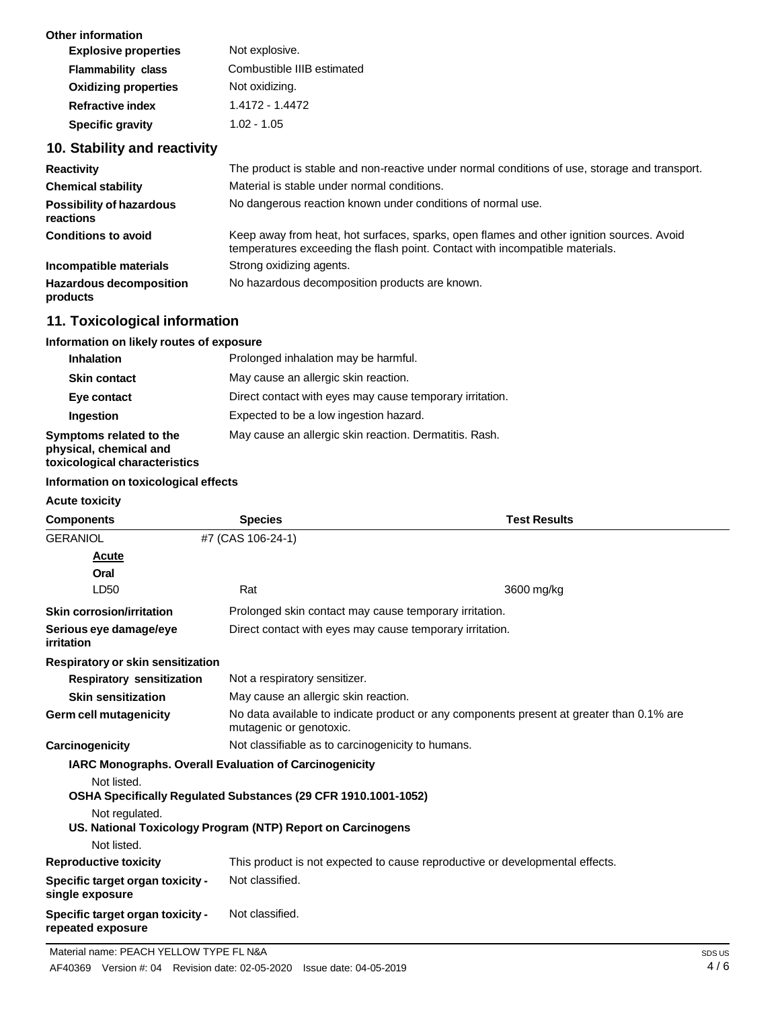| <b>Other information</b>    |                            |
|-----------------------------|----------------------------|
| <b>Explosive properties</b> | Not explosive.             |
| <b>Flammability class</b>   | Combustible IIIB estimated |
| <b>Oxidizing properties</b> | Not oxidizing.             |
| <b>Refractive index</b>     | 1.4172 - 1.4472            |
| <b>Specific gravity</b>     | $1.02 - 1.05$              |
|                             |                            |

# **10. Stability and reactivity**

| <b>Reactivity</b>                            | The product is stable and non-reactive under normal conditions of use, storage and transport.                                                                            |
|----------------------------------------------|--------------------------------------------------------------------------------------------------------------------------------------------------------------------------|
| <b>Chemical stability</b>                    | Material is stable under normal conditions.                                                                                                                              |
| <b>Possibility of hazardous</b><br>reactions | No dangerous reaction known under conditions of normal use.                                                                                                              |
| <b>Conditions to avoid</b>                   | Keep away from heat, hot surfaces, sparks, open flames and other ignition sources. Avoid<br>temperatures exceeding the flash point. Contact with incompatible materials. |
| Incompatible materials                       | Strong oxidizing agents.                                                                                                                                                 |
| <b>Hazardous decomposition</b><br>products   | No hazardous decomposition products are known.                                                                                                                           |

# **11. Toxicological information**

### **Information on likely routes of exposure**

| <b>Inhalation</b>                                                                  | Prolonged inhalation may be harmful.                     |
|------------------------------------------------------------------------------------|----------------------------------------------------------|
| <b>Skin contact</b>                                                                | May cause an allergic skin reaction.                     |
| Eye contact                                                                        | Direct contact with eyes may cause temporary irritation. |
| Ingestion                                                                          | Expected to be a low ingestion hazard.                   |
| Symptoms related to the<br>physical, chemical and<br>toxicological characteristics | May cause an allergic skin reaction. Dermatitis. Rash.   |

### **Information on toxicological effects**

| <b>Components</b>                                                             | <b>Species</b>                                                                                                      | <b>Test Results</b>                               |  |
|-------------------------------------------------------------------------------|---------------------------------------------------------------------------------------------------------------------|---------------------------------------------------|--|
| <b>GERANIOL</b>                                                               | #7 (CAS 106-24-1)                                                                                                   |                                                   |  |
| <b>Acute</b>                                                                  |                                                                                                                     |                                                   |  |
| Oral                                                                          |                                                                                                                     |                                                   |  |
| LD50                                                                          | Rat                                                                                                                 | 3600 mg/kg                                        |  |
| <b>Skin corrosion/irritation</b>                                              | Prolonged skin contact may cause temporary irritation.                                                              |                                                   |  |
| Serious eye damage/eye<br>irritation                                          | Direct contact with eyes may cause temporary irritation.                                                            |                                                   |  |
| Respiratory or skin sensitization                                             |                                                                                                                     |                                                   |  |
| <b>Respiratory sensitization</b>                                              |                                                                                                                     | Not a respiratory sensitizer.                     |  |
| <b>Skin sensitization</b>                                                     | May cause an allergic skin reaction.                                                                                |                                                   |  |
| Germ cell mutagenicity                                                        | No data available to indicate product or any components present at greater than 0.1% are<br>mutagenic or genotoxic. |                                                   |  |
| Carcinogenicity                                                               |                                                                                                                     | Not classifiable as to carcinogenicity to humans. |  |
| <b>IARC Monographs. Overall Evaluation of Carcinogenicity</b>                 |                                                                                                                     |                                                   |  |
| Not listed.<br>OSHA Specifically Regulated Substances (29 CFR 1910.1001-1052) |                                                                                                                     |                                                   |  |
| Not regulated.<br>US. National Toxicology Program (NTP) Report on Carcinogens |                                                                                                                     |                                                   |  |
| Not listed.                                                                   |                                                                                                                     |                                                   |  |
| <b>Reproductive toxicity</b>                                                  | This product is not expected to cause reproductive or developmental effects.                                        |                                                   |  |
| Specific target organ toxicity -<br>single exposure                           | Not classified.                                                                                                     |                                                   |  |
| Specific target organ toxicity -<br>repeated exposure                         | Not classified.                                                                                                     |                                                   |  |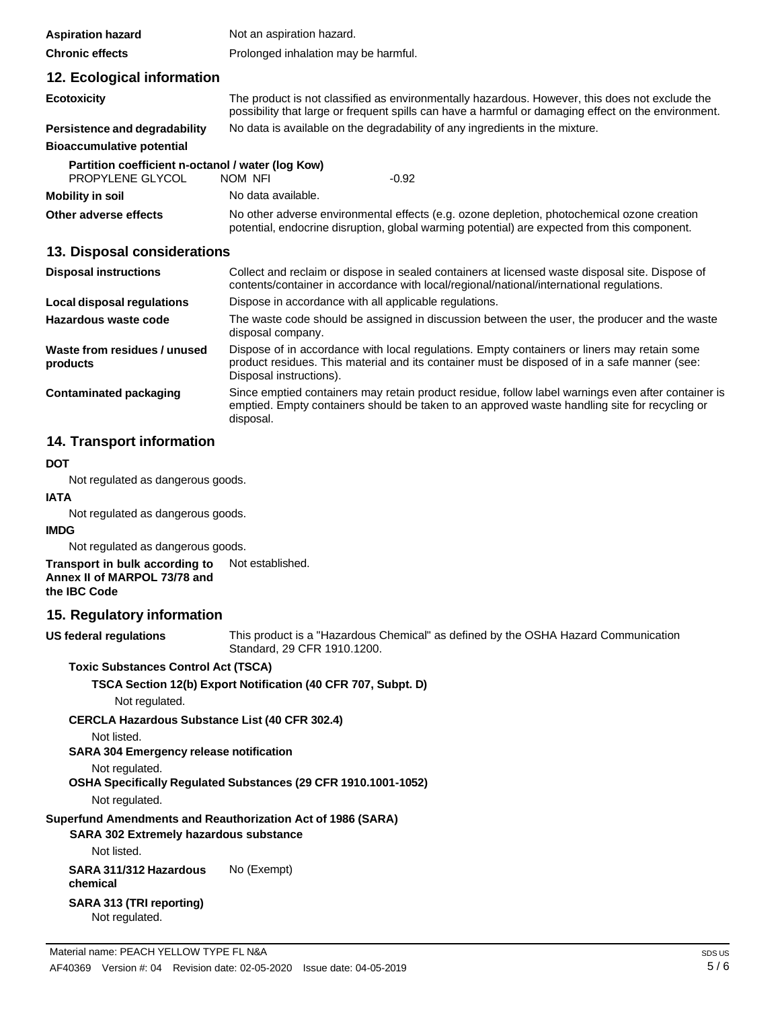| <b>Aspiration hazard</b>                          | Not an aspiration hazard.                                                                                                                                                                             |  |  |  |
|---------------------------------------------------|-------------------------------------------------------------------------------------------------------------------------------------------------------------------------------------------------------|--|--|--|
| <b>Chronic effects</b>                            | Prolonged inhalation may be harmful.                                                                                                                                                                  |  |  |  |
| 12. Ecological information                        |                                                                                                                                                                                                       |  |  |  |
| <b>Ecotoxicity</b>                                | The product is not classified as environmentally hazardous. However, this does not exclude the<br>possibility that large or frequent spills can have a harmful or damaging effect on the environment. |  |  |  |
| Persistence and degradability                     | No data is available on the degradability of any ingredients in the mixture.                                                                                                                          |  |  |  |
| <b>Bioaccumulative potential</b>                  |                                                                                                                                                                                                       |  |  |  |
| Partition coefficient n-octanol / water (log Kow) |                                                                                                                                                                                                       |  |  |  |
| PROPYLENE GLYCOL                                  | NOM NFI<br>$-0.92$                                                                                                                                                                                    |  |  |  |
| Mobility in soil                                  | No data available.                                                                                                                                                                                    |  |  |  |
| Other adverse effects                             | No other adverse environmental effects (e.g. ozone depletion, photochemical ozone creation<br>potential, endocrine disruption, global warming potential) are expected from this component.            |  |  |  |

### **13. Disposal considerations**

| <b>Disposal instructions</b>             | Collect and reclaim or dispose in sealed containers at licensed waste disposal site. Dispose of<br>contents/container in accordance with local/regional/national/international regulations.                            |  |
|------------------------------------------|------------------------------------------------------------------------------------------------------------------------------------------------------------------------------------------------------------------------|--|
| Local disposal regulations               | Dispose in accordance with all applicable regulations.                                                                                                                                                                 |  |
| Hazardous waste code                     | The waste code should be assigned in discussion between the user, the producer and the waste<br>disposal company.                                                                                                      |  |
| Waste from residues / unused<br>products | Dispose of in accordance with local regulations. Empty containers or liners may retain some<br>product residues. This material and its container must be disposed of in a safe manner (see:<br>Disposal instructions). |  |
| <b>Contaminated packaging</b>            | Since emptied containers may retain product residue, follow label warnings even after container is<br>emptied. Empty containers should be taken to an approved waste handling site for recycling or<br>disposal.       |  |

# **14. Transport information**

### **DOT**

Not regulated as dangerous goods.

**IATA**

Not regulated as dangerous goods.

### **IMDG**

Not regulated as dangerous goods.

**Transport in bulk according to Annex II of MARPOL 73/78 and the IBC Code** Not established.

### **15. Regulatory information**

**US federal regulations**

This product is a "Hazardous Chemical" as defined by the OSHA Hazard Communication Standard, 29 CFR 1910.1200.

### **Toxic Substances Control Act (TSCA)**

**TSCA Section 12(b) Export Notification (40 CFR 707, Subpt. D)**

Not regulated.

**CERCLA Hazardous Substance List (40 CFR 302.4)**

Not listed.

### **SARA 304 Emergency release notification**

Not regulated.

### **OSHA Specifically Regulated Substances (29 CFR 1910.1001-1052)**

Not regulated.

### **Superfund Amendments and Reauthorization Act of 1986 (SARA)**

### **SARA 302 Extremely hazardous substance**

Not listed.

### **SARA 311/312 Hazardous chemical** No (Exempt)

**SARA 313 (TRI reporting)**

Not regulated.